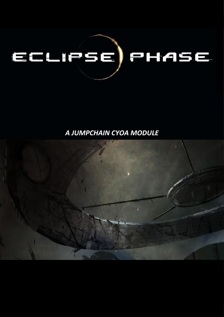# ECLIPSE) PHASE

# A JUMPCHAIN CYOA MODULE

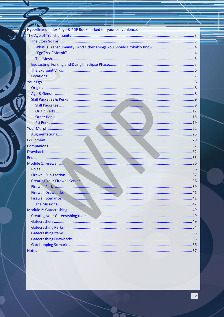| $\mathbb{R}^n$ . The contract of the contract of the contract of the contract of the contract of the contract of the contract of the contract of the contract of the contract of the contract of the contract of the contract of |  |
|----------------------------------------------------------------------------------------------------------------------------------------------------------------------------------------------------------------------------------|--|
| Hyperlinked Index Page & PDF Bookmarked for your convenience.                                                                                                                                                                    |  |
|                                                                                                                                                                                                                                  |  |
|                                                                                                                                                                                                                                  |  |
|                                                                                                                                                                                                                                  |  |
|                                                                                                                                                                                                                                  |  |
|                                                                                                                                                                                                                                  |  |
|                                                                                                                                                                                                                                  |  |
|                                                                                                                                                                                                                                  |  |
|                                                                                                                                                                                                                                  |  |
|                                                                                                                                                                                                                                  |  |
|                                                                                                                                                                                                                                  |  |
|                                                                                                                                                                                                                                  |  |
|                                                                                                                                                                                                                                  |  |
|                                                                                                                                                                                                                                  |  |
|                                                                                                                                                                                                                                  |  |
|                                                                                                                                                                                                                                  |  |
|                                                                                                                                                                                                                                  |  |
|                                                                                                                                                                                                                                  |  |
|                                                                                                                                                                                                                                  |  |
|                                                                                                                                                                                                                                  |  |
|                                                                                                                                                                                                                                  |  |
|                                                                                                                                                                                                                                  |  |
|                                                                                                                                                                                                                                  |  |
|                                                                                                                                                                                                                                  |  |
|                                                                                                                                                                                                                                  |  |
|                                                                                                                                                                                                                                  |  |
|                                                                                                                                                                                                                                  |  |
|                                                                                                                                                                                                                                  |  |
|                                                                                                                                                                                                                                  |  |
|                                                                                                                                                                                                                                  |  |
|                                                                                                                                                                                                                                  |  |
|                                                                                                                                                                                                                                  |  |
|                                                                                                                                                                                                                                  |  |
|                                                                                                                                                                                                                                  |  |
|                                                                                                                                                                                                                                  |  |
|                                                                                                                                                                                                                                  |  |
|                                                                                                                                                                                                                                  |  |
|                                                                                                                                                                                                                                  |  |
|                                                                                                                                                                                                                                  |  |
|                                                                                                                                                                                                                                  |  |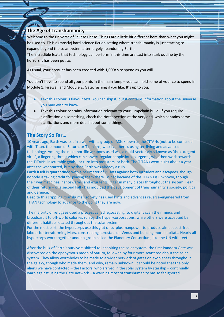## <span id="page-2-0"></span>**The Age of Transhumanity**

Welcome to the universe of Eclipse Phase. Things are a little bit different here than what you might be used to. EP is a (mostly) hard science fiction setting where transhumanity is just starting to expand beyond the solar system after largely abandoning Earth.

The incredible feats that technology can perform in this time are cast into stark outline by the horrors it has been put to.

As usual, your account has been credited with **1,000cp** to spend as you will.

You don't have to spend all your points in the main jump – you can hold some of your cp to spend in Module 1: Firewall and Module 2: Gatecrashing if you like. It's up to you.

- Text this colour is flavour text. You can skip it, but it contains information about the universe you may wish to know.
- Text this colour contains information relevant to your jumpchain build. If you require clarification on something, check the Notes section at the very end, which contains some clarifications and more detail about some things.

#### <span id="page-2-1"></span>**The Story So Far…**

10 years ago, Earth was lost in a war with a group of ASIs known as the TITANs (not to be confused with Titan, the moon of Saturn, or Titanians, who live there), using terrifying and advanced technology. Among the most horrific weapons used was a multi-vector virus known as 'the exurgent virus', a lingering threat which can convert regular people into exurgents, who then work towards the TITANs' inscrutable goals…or turn into monsters, or both. The TITANs went quiet about a year after the war started, but by then Earth was already a ruin.

Earth itself is quarantined with a perimeter of killsats against both intruders and escapees, though nobody is taking credit for placing them there. What became of the TITANs is unknown, though their war machines, nanoswarms and exurgents linger in many places throughout the system. Fear of their return – of a second Fall - has moulded the development of transhumanity's society, politics and defence.

Despite this crippling, transhuman society has used hints and advances reverse-engineered from TITAN technology to advance to the point they are now.

The majority of refugees used a process called 'egocasting' to digitally scan their minds and broadcast it to off-world colonies run by the hyper-corporations, while others were accepted by different habitats located throughout the solar system.

For the most part, the hypercorps use this glut of surplus manpower to produce almost cost-free labour for terraforming Mars, constructing aerostats on Venus and building more habitats. Nearly all hypercorps work together under a group called the Planetary Consortium, like the UN with teeth.

After the bulk of Earth's survivors shifted to inhabiting the solar system, the first Pandora Gate was discovered on the eponymous moon of Saturn, followed by four more scattered about the solar system. They allow wormholes to be made to a wider network of gates on exoplanets throughout the galaxy, though who made them, and why, remain unknown. It should be noted that the only aliens we have contacted – the Factors, who arrived in the solar system by starship – continually warn against using the Gate network – a warning most of transhumanity has so far ignored.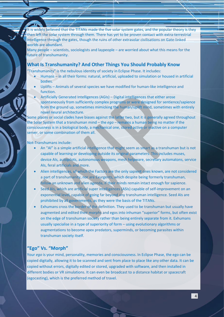It is widely believed that the TITANs made the five solar system gates, and the popular theory is they then left the solar system through them. There has yet to be proven contact with extra-terrestrial intelligence through the gates, though the ruins of other extrasolar civilisations on Gate-linked worlds are abundant.

Many people – scientists, sociologists and laypeople – are worried about what this means for the future of transhumanity.

#### <span id="page-3-0"></span>**What Is Transhumanity? And Other Things You Should Probably Know**

"Transhumanity" is the nebulous identity of society in Eclipse Phase. It includes:

- Humans in all their forms: natural, artificial, uploaded to simulation or housed in artificial bodies.
- Uplifts Animals of several species we have modified for human-like intelligence and function.
- Artificially Generated Intelligences (AGIs) Digital intelligences that either arose spontaneously from sufficiently complex programs or were designed for sentience/sapience from the ground up, sometimes mimicking the human/uplift mind, sometimes with entirely novel neural architecture.

Some places or social clades have biases against the latter two, but it is generally agreed throughout the Solar System that a transhuman mind – the *ego –* remains a human being no matter if the consciousness is in a biological body, a mechanical one, stored active or inactive on a computer server, or some combination of them all.

Not-Transhumans include:

- An "AI" is a simple artificial intelligence that might seem as smart as a transhuman but is not capable of learning or developing outside its original parameters. This includes muses, device AIs, autopilots, autonomous weapons, mesh helpware, secretary automatons, service AIs, feral artificials and more.
- Alien intelligences, of which the Factors are the only sapient ones known, are not considered a part of transhumanity, nor are Exurgents, which despite being formerly transhuman, follow an unknown and alien agenda, if their minds remain intact enough for sapience.
- Seed AIs, which are artificial super intelligences (ASIs) capable of self-improvement on an exponential level, capable of going far beyond any transhuman intelligence. Seed AIs are prohibited by all governments, as they were the basis of the TITANs.
- Exhumans cross the border of the definition. They used to be transhuman but usually have augmented and edited their morphs and egos into inhuman "superior" forms, but often exist on the edge of transhuman society rather than being entirely separate from it. Exhumans usually specialise in a type of superiority of form – using evolutionary algorithms or augmentations to become apex predators, superminds, or becoming parasites within transhuman society itself.

#### <span id="page-3-1"></span>**"Ego" Vs. "Morph"**

Your *ego* is your mind, personality, memories and consciousness. In Eclipse Phase, the ego can be copied digitally, allowing it to be scanned and sent from place to place like any other data. It can be copied without errors, digitally edited or stored, upgraded with software, and then installed in different bodies or VR simulations. It can even be broadcast to a distance habitat or spacecraft (egocasting), which is the preferred method of travel.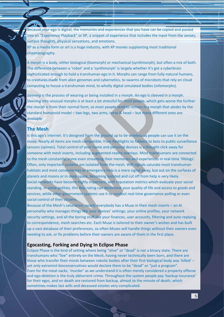Because your ego is digital, the memories and experiences that you have can be copied and pasted into an "Experience Playback" or XP, a snippet of experience that includes the input from the senses, surface thoughts, physical sensations, and emotions.

XP as a media form or art is a huge industry, with XP movies supplanting most traditional cinematography.

A *morph* is a body, either biological (biomorph) or mechanical (synthmorph), but often a mix of both. The difference between a 'robot' and a 'synthmorph' is largely whether it's got a cyberbrain sophisticated enough to hold a transhuman ego in it. Morphs can range from fully-natural humans, to creatures made from alien genomes and cybernetics, to swarms of microbots that rely on cloud computing to house a transhuman mind, to wholly digital simulated bodies (infomorphs).

*Sleeving* is the process of wearing or being installed in a morph. An ego is sleeved in a morph. Sleeving into unusual morphs is at least a bit stressful for most people, which gets worse the further the morph is from their normal form, so most people tend to remain in a morph that abides by the standard humanoid model – two legs, two arms, torso & head – but many different ones are available.

## <span id="page-4-0"></span>**The Mesh**

Is this age's internet. It's designed from the ground up to be wireless so people can use it on the move. Nearly all items are mesh-compatible, from flashlights to fabbers to bots to public surveillance sensors (spimes). Total control of your home and personal devices is a thought-click away for someone with mesh inserts, including augmented-reality overlays. Most transhumans are connected to the mesh constantly, some even streaming their memories and experiences in real-time 'lifelogs'. Often, only important systems are isolated from the mesh. Wifi signals saturate most transhuman habitats and most conveniences or emergency help is a mere signal away, but out on the surfaces of planets and moons or in deep space, becoming isolated and cut off from help is very likely. Social networks have become highly important, with reputation metrics which evaluate your social standing. In some polities, this Rep rating can determine your quality of life and access to goods and services, while other government systems use it to conduct real-time governance polling or even social control of their citizens.

Because of the Mesh's saturation, nearly everybody has a Muse in their mesh inserts – an AI personality who manages things like your devices' settings, your online profiles, your network security settings, and all the boring stuff like your finances, user accounts, filtering and auto-replying to correspondence, mesh searches etc. Each Muse is tailored to their owner's wishes and has built up a vast database of their preferences, so often Muses will handle things without their owners even needing to ask, or fix problems before their owners are aware of them in the first place.

#### <span id="page-4-1"></span>**Egocasting, Forking and Dying In Eclipse Phase**

Eclipse Phase is the kind of setting where being "alive" or "dead" is not a binary state. There are transhumans who "live" entirely on the Mesh, having never technically been born, and there are those who transfer their minds between robotic bodies after their first biological body was 'killed' – yet only extremist bioconservatives would declare them to be "dead" or "just a program". Even for the meat-sacks, 'murder' as we understand it is often merely considered a property offense and ego-deletion is the truly abhorrent crime. Throughout the system people pay 'backup insurance' for their egos, and on death are restored from backup, almost to the minute of death, which sometimes makes last wills and deceased estates very complicated.